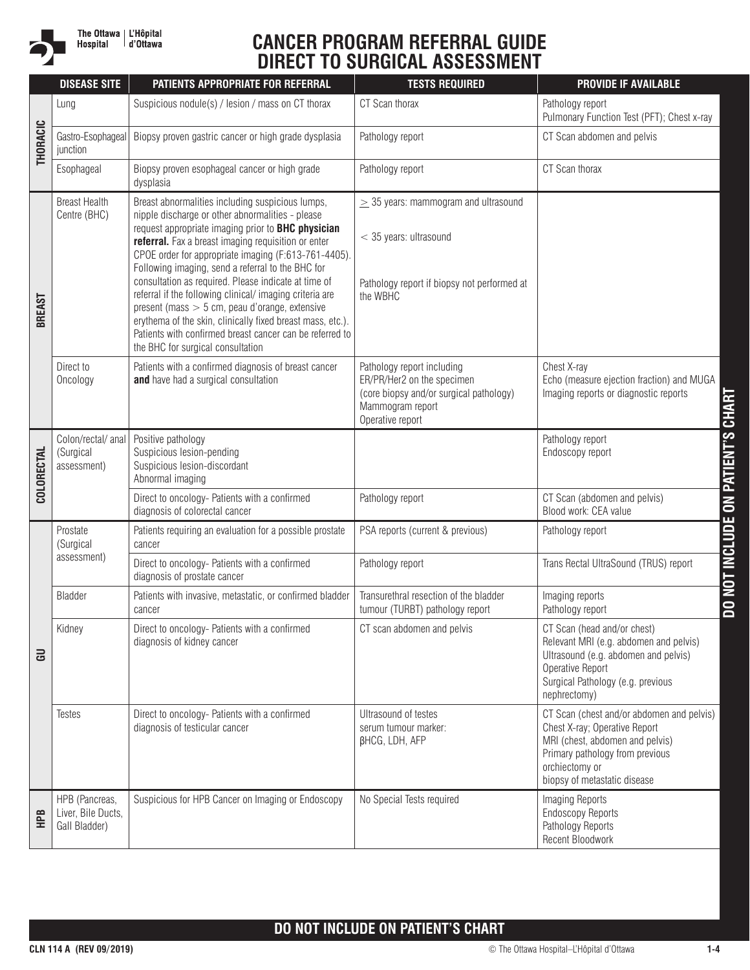

## **CANCER PROGRAM REFERRAL GUIDE DIRECT TO SURGICAL ASSESSMENT**

|                   | <b>DISEASE SITE</b>                                   | <b>PATIENTS APPROPRIATE FOR REFERRAL</b>                                                                                                                                                                                                                                                                                                                                                                                                                                                                                                                                                                                                                             | <b>TESTS REQUIRED</b>                                                                                                                       | <b>PROVIDE IF AVAILABLE</b>                                                                                                                                                                        |
|-------------------|-------------------------------------------------------|----------------------------------------------------------------------------------------------------------------------------------------------------------------------------------------------------------------------------------------------------------------------------------------------------------------------------------------------------------------------------------------------------------------------------------------------------------------------------------------------------------------------------------------------------------------------------------------------------------------------------------------------------------------------|---------------------------------------------------------------------------------------------------------------------------------------------|----------------------------------------------------------------------------------------------------------------------------------------------------------------------------------------------------|
|                   | Lung                                                  | Suspicious nodule(s) / lesion / mass on CT thorax                                                                                                                                                                                                                                                                                                                                                                                                                                                                                                                                                                                                                    | CT Scan thorax                                                                                                                              | Pathology report<br>Pulmonary Function Test (PFT); Chest x-ray                                                                                                                                     |
| <b>THORACIC</b>   | Gastro-Esophageal<br>junction                         | Biopsy proven gastric cancer or high grade dysplasia                                                                                                                                                                                                                                                                                                                                                                                                                                                                                                                                                                                                                 | Pathology report                                                                                                                            | CT Scan abdomen and pelvis                                                                                                                                                                         |
|                   | Esophageal                                            | Biopsy proven esophageal cancer or high grade<br>dysplasia                                                                                                                                                                                                                                                                                                                                                                                                                                                                                                                                                                                                           | Pathology report                                                                                                                            | CT Scan thorax                                                                                                                                                                                     |
| <b>BREAST</b>     | <b>Breast Health</b><br>Centre (BHC)                  | Breast abnormalities including suspicious lumps,<br>nipple discharge or other abnormalities - please<br>request appropriate imaging prior to BHC physician<br>referral. Fax a breast imaging requisition or enter<br>CPOE order for appropriate imaging (F:613-761-4405).<br>Following imaging, send a referral to the BHC for<br>consultation as required. Please indicate at time of<br>referral if the following clinical/imaging criteria are<br>present (mass $> 5$ cm, peau d'orange, extensive<br>erythema of the skin, clinically fixed breast mass, etc.).<br>Patients with confirmed breast cancer can be referred to<br>the BHC for surgical consultation | $\geq$ 35 years: mammogram and ultrasound<br>$<$ 35 years: ultrasound<br>Pathology report if biopsy not performed at<br>the WBHC            |                                                                                                                                                                                                    |
|                   | Direct to<br>Oncology                                 | Patients with a confirmed diagnosis of breast cancer<br>and have had a surgical consultation                                                                                                                                                                                                                                                                                                                                                                                                                                                                                                                                                                         | Pathology report including<br>ER/PR/Her2 on the specimen<br>(core biopsy and/or surgical pathology)<br>Mammogram report<br>Operative report | Chest X-ray<br>Echo (measure ejection fraction) and MUGA<br>Imaging reports or diagnostic reports                                                                                                  |
| <b>COLORECTAL</b> | Colon/rectal/ anal<br>(Surgical<br>assessment)        | Positive pathology<br>Suspicious lesion-pending<br>Suspicious lesion-discordant<br>Abnormal imaging                                                                                                                                                                                                                                                                                                                                                                                                                                                                                                                                                                  |                                                                                                                                             | Pathology report<br>Endoscopy report                                                                                                                                                               |
|                   |                                                       | Direct to oncology- Patients with a confirmed<br>diagnosis of colorectal cancer                                                                                                                                                                                                                                                                                                                                                                                                                                                                                                                                                                                      | Pathology report                                                                                                                            | CT Scan (abdomen and pelvis)<br>Blood work: CEA value                                                                                                                                              |
|                   | Prostate<br>(Surgical                                 | Patients requiring an evaluation for a possible prostate<br>cancer                                                                                                                                                                                                                                                                                                                                                                                                                                                                                                                                                                                                   | PSA reports (current & previous)                                                                                                            | Pathology report                                                                                                                                                                                   |
|                   | assessment)                                           | Direct to oncology- Patients with a confirmed<br>diagnosis of prostate cancer                                                                                                                                                                                                                                                                                                                                                                                                                                                                                                                                                                                        | Pathology report                                                                                                                            | Trans Rectal UltraSound (TRUS) report                                                                                                                                                              |
|                   | <b>Bladder</b>                                        | Patients with invasive, metastatic, or confirmed bladder<br>cancer                                                                                                                                                                                                                                                                                                                                                                                                                                                                                                                                                                                                   | Transurethral resection of the bladder<br>tumour (TURBT) pathology report                                                                   | Imaging reports<br>Pathology report                                                                                                                                                                |
| $\overline{a}$    | Kidney                                                | Direct to oncology- Patients with a confirmed<br>diagnosis of kidney cancer                                                                                                                                                                                                                                                                                                                                                                                                                                                                                                                                                                                          | CT scan abdomen and pelvis                                                                                                                  | CT Scan (head and/or chest)<br>Relevant MRI (e.g. abdomen and pelvis)<br>Ultrasound (e.g. abdomen and pelvis)<br>Operative Report<br>Surgical Pathology (e.g. previous<br>nephrectomy)             |
|                   | <b>Testes</b>                                         | Direct to oncology- Patients with a confirmed<br>diagnosis of testicular cancer                                                                                                                                                                                                                                                                                                                                                                                                                                                                                                                                                                                      | Ultrasound of testes<br>serum tumour marker:<br>βHCG, LDH, AFP                                                                              | CT Scan (chest and/or abdomen and pelvis)<br>Chest X-ray; Operative Report<br>MRI (chest, abdomen and pelvis)<br>Primary pathology from previous<br>orchiectomy or<br>biopsy of metastatic disease |
| <b>FB</b>         | HPB (Pancreas,<br>Liver, Bile Ducts,<br>Gall Bladder) | Suspicious for HPB Cancer on Imaging or Endoscopy                                                                                                                                                                                                                                                                                                                                                                                                                                                                                                                                                                                                                    | No Special Tests required                                                                                                                   | Imaging Reports<br><b>Endoscopy Reports</b><br>Pathology Reports<br>Recent Bloodwork                                                                                                               |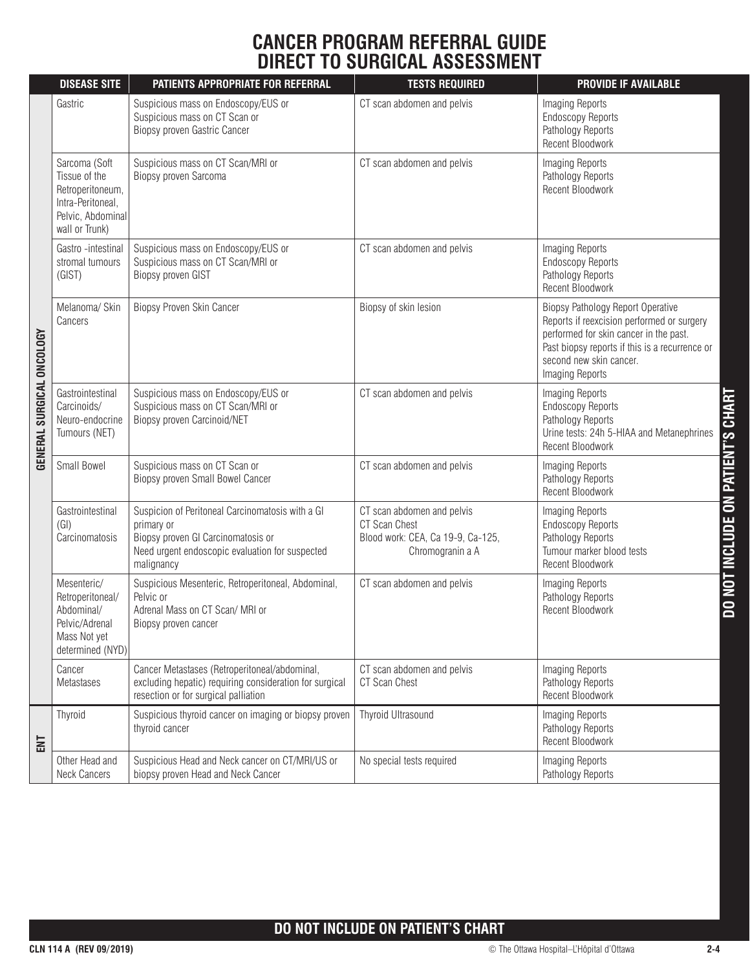## **CANCER PROGRAM REFERRAL GUIDE DIRECT TO SURGICAL ASSESSMENT**

|                           | <b>DISEASE SITE</b>                                                                                            | PATIENTS APPROPRIATE FOR REFERRAL                                                                                                                                     | <b>TESTS REQUIRED</b>                                                                                | <b>PROVIDE IF AVAILABLE</b>                                                                                                                                                                                                      |
|---------------------------|----------------------------------------------------------------------------------------------------------------|-----------------------------------------------------------------------------------------------------------------------------------------------------------------------|------------------------------------------------------------------------------------------------------|----------------------------------------------------------------------------------------------------------------------------------------------------------------------------------------------------------------------------------|
|                           | Gastric                                                                                                        | Suspicious mass on Endoscopy/EUS or<br>Suspicious mass on CT Scan or<br>Biopsy proven Gastric Cancer                                                                  | CT scan abdomen and pelvis                                                                           | Imaging Reports<br><b>Endoscopy Reports</b><br>Pathology Reports<br><b>Recent Bloodwork</b>                                                                                                                                      |
|                           | Sarcoma (Soft<br>Tissue of the<br>Retroperitoneum,<br>Intra-Peritoneal,<br>Pelvic, Abdominal<br>wall or Trunk) | Suspicious mass on CT Scan/MRI or<br>Biopsy proven Sarcoma                                                                                                            | CT scan abdomen and pelvis                                                                           | Imaging Reports<br>Pathology Reports<br><b>Recent Bloodwork</b>                                                                                                                                                                  |
|                           | Gastro -intestinal<br>stromal tumours<br>(GIST)                                                                | Suspicious mass on Endoscopy/EUS or<br>Suspicious mass on CT Scan/MRI or<br>Biopsy proven GIST                                                                        | CT scan abdomen and pelvis                                                                           | Imaging Reports<br><b>Endoscopy Reports</b><br>Pathology Reports<br><b>Recent Bloodwork</b>                                                                                                                                      |
|                           | Melanoma/ Skin<br>Cancers                                                                                      | Biopsy Proven Skin Cancer                                                                                                                                             | Biopsy of skin lesion                                                                                | <b>Biopsy Pathology Report Operative</b><br>Reports if reexcision performed or surgery<br>performed for skin cancer in the past.<br>Past biopsy reports if this is a recurrence or<br>second new skin cancer.<br>Imaging Reports |
| GENERAL SURGICAL ONCOLOGY | Gastrointestinal<br>Carcinoids/<br>Neuro-endocrine<br>Tumours (NET)                                            | Suspicious mass on Endoscopy/EUS or<br>Suspicious mass on CT Scan/MRI or<br>Biopsy proven Carcinoid/NET                                                               | CT scan abdomen and pelvis                                                                           | Imaging Reports<br><b>Endoscopy Reports</b><br>Pathology Reports<br>Urine tests: 24h 5-HIAA and Metanephrines<br><b>Recent Bloodwork</b>                                                                                         |
|                           | Small Bowel                                                                                                    | Suspicious mass on CT Scan or<br>Biopsy proven Small Bowel Cancer                                                                                                     | CT scan abdomen and pelvis                                                                           | Imaging Reports<br>Pathology Reports<br><b>Recent Bloodwork</b>                                                                                                                                                                  |
|                           | Gastrointestinal<br>(GI)<br>Carcinomatosis                                                                     | Suspicion of Peritoneal Carcinomatosis with a GI<br>primary or<br>Biopsy proven GI Carcinomatosis or<br>Need urgent endoscopic evaluation for suspected<br>malignancy | CT scan abdomen and pelvis<br>CT Scan Chest<br>Blood work: CEA, Ca 19-9, Ca-125,<br>Chromogranin a A | Imaging Reports<br><b>Endoscopy Reports</b><br>Pathology Reports<br>Tumour marker blood tests<br><b>Recent Bloodwork</b>                                                                                                         |
|                           | Mesenteric/<br>Retroperitoneal/<br>Abdominal/<br>Pelvic/Adrenal<br>Mass Not yet<br>determined (NYD)            | Suspicious Mesenteric, Retroperitoneal, Abdominal,<br>Pelvic or<br>Adrenal Mass on CT Scan/ MRI or<br>Biopsy proven cancer                                            | CT scan abdomen and pelvis                                                                           | Imaging Reports<br>Pathology Reports<br><b>Recent Bloodwork</b>                                                                                                                                                                  |
|                           | Cancer<br>Metastases                                                                                           | Cancer Metastases (Retroperitoneal/abdominal,<br>excluding hepatic) requiring consideration for surgical<br>resection or for surgical palliation                      | CT scan abdomen and pelvis<br>CT Scan Chest                                                          | Imaging Reports<br>Pathology Reports<br>Recent Bloodwork                                                                                                                                                                         |
| ENT                       | Thyroid                                                                                                        | Suspicious thyroid cancer on imaging or biopsy proven<br>thyroid cancer                                                                                               | Thyroid Ultrasound                                                                                   | Imaging Reports<br>Pathology Reports<br><b>Recent Bloodwork</b>                                                                                                                                                                  |
|                           | Other Head and<br><b>Neck Cancers</b>                                                                          | Suspicious Head and Neck cancer on CT/MRI/US or<br>biopsy proven Head and Neck Cancer                                                                                 | No special tests required                                                                            | Imaging Reports<br>Pathology Reports                                                                                                                                                                                             |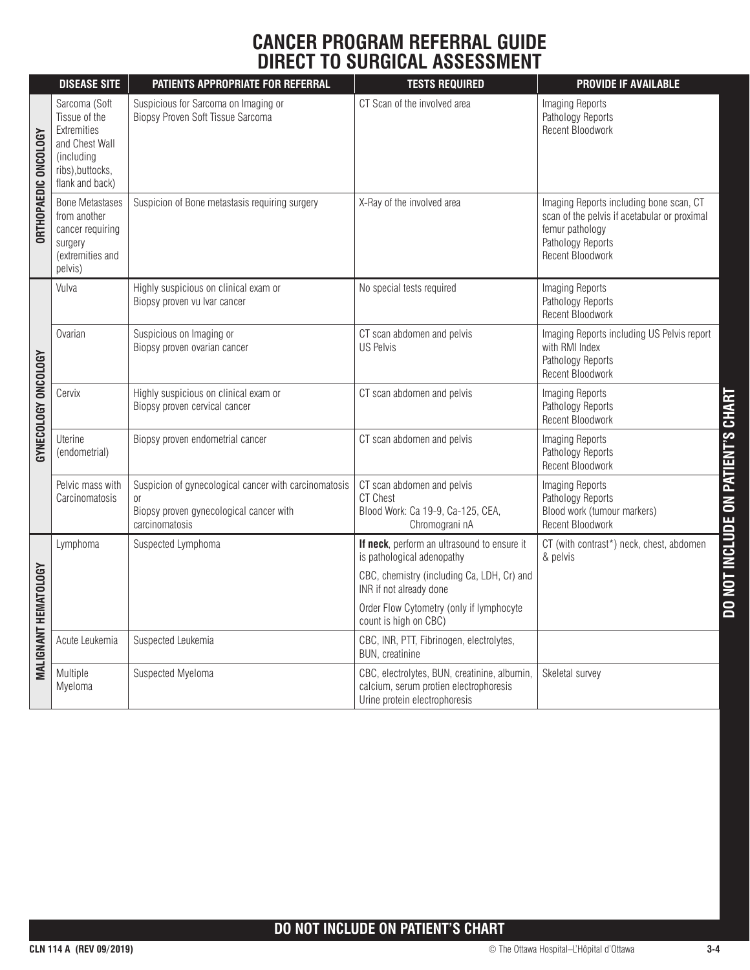## **CANCER PROGRAM REFERRAL GUIDE DIRECT TO SURGICAL ASSESSMENT**

|                             | <b>DISEASE SITE</b>                                                                                                  | PATIENTS APPROPRIATE FOR REFERRAL                                                                                        | <b>TESTS REQUIRED</b>                                                                                                   | <b>PROVIDE IF AVAILABLE</b>                                                                                                                         |
|-----------------------------|----------------------------------------------------------------------------------------------------------------------|--------------------------------------------------------------------------------------------------------------------------|-------------------------------------------------------------------------------------------------------------------------|-----------------------------------------------------------------------------------------------------------------------------------------------------|
| <b>ORTHOPAEDIC ONCOLOGY</b> | Sarcoma (Soft<br>Tissue of the<br>Extremities<br>and Chest Wall<br>(including<br>ribs), buttocks,<br>flank and back) | Suspicious for Sarcoma on Imaging or<br>Biopsy Proven Soft Tissue Sarcoma                                                | CT Scan of the involved area                                                                                            | Imaging Reports<br>Pathology Reports<br><b>Recent Bloodwork</b>                                                                                     |
|                             | <b>Bone Metastases</b><br>from another<br>cancer requiring<br>surgery<br>(extremities and<br>pelvis)                 | Suspicion of Bone metastasis requiring surgery                                                                           | X-Ray of the involved area                                                                                              | Imaging Reports including bone scan, CT<br>scan of the pelvis if acetabular or proximal<br>femur pathology<br>Pathology Reports<br>Recent Bloodwork |
| GYNECOLOGY ONCOLOGY         | Vulva                                                                                                                | Highly suspicious on clinical exam or<br>Biopsy proven vu Ivar cancer                                                    | No special tests required                                                                                               | Imaging Reports<br>Pathology Reports<br>Recent Bloodwork                                                                                            |
|                             | Ovarian                                                                                                              | Suspicious on Imaging or<br>Biopsy proven ovarian cancer                                                                 | CT scan abdomen and pelvis<br><b>US Pelvis</b>                                                                          | Imaging Reports including US Pelvis report<br>with RMI Index<br>Pathology Reports<br><b>Recent Bloodwork</b>                                        |
|                             | Cervix                                                                                                               | Highly suspicious on clinical exam or<br>Biopsy proven cervical cancer                                                   | CT scan abdomen and pelvis                                                                                              | Imaging Reports<br>Pathology Reports<br>Recent Bloodwork                                                                                            |
|                             | <b>Uterine</b><br>(endometrial)                                                                                      | Biopsy proven endometrial cancer                                                                                         | CT scan abdomen and pelvis                                                                                              | Imaging Reports<br>Pathology Reports<br>Recent Bloodwork                                                                                            |
|                             | Pelvic mass with<br>Carcinomatosis                                                                                   | Suspicion of gynecological cancer with carcinomatosis<br>0ľ<br>Biopsy proven gynecological cancer with<br>carcinomatosis | CT scan abdomen and pelvis<br><b>CT Chest</b><br>Blood Work: Ca 19-9, Ca-125, CEA,<br>Chromograni nA                    | DO NOT INCLUDE ON PATIENT'S CHART<br>Imaging Reports<br>Pathology Reports<br>Blood work (tumour markers)<br>Recent Bloodwork                        |
|                             | Lymphoma                                                                                                             | Suspected Lymphoma                                                                                                       | If neck, perform an ultrasound to ensure it<br>is pathological adenopathy                                               | CT (with contrast*) neck, chest, abdomen<br>& pelvis                                                                                                |
| <b>MALIGNANT HEMATOLOGY</b> |                                                                                                                      |                                                                                                                          | CBC, chemistry (including Ca, LDH, Cr) and<br>INR if not already done                                                   |                                                                                                                                                     |
|                             |                                                                                                                      |                                                                                                                          | Order Flow Cytometry (only if lymphocyte<br>count is high on CBC)                                                       |                                                                                                                                                     |
|                             | Acute Leukemia                                                                                                       | Suspected Leukemia                                                                                                       | CBC, INR, PTT, Fibrinogen, electrolytes,<br>BUN, creatinine                                                             |                                                                                                                                                     |
|                             | Multiple<br>Myeloma                                                                                                  | Suspected Myeloma                                                                                                        | CBC, electrolytes, BUN, creatinine, albumin,<br>calcium, serum protien electrophoresis<br>Urine protein electrophoresis | Skeletal survey                                                                                                                                     |